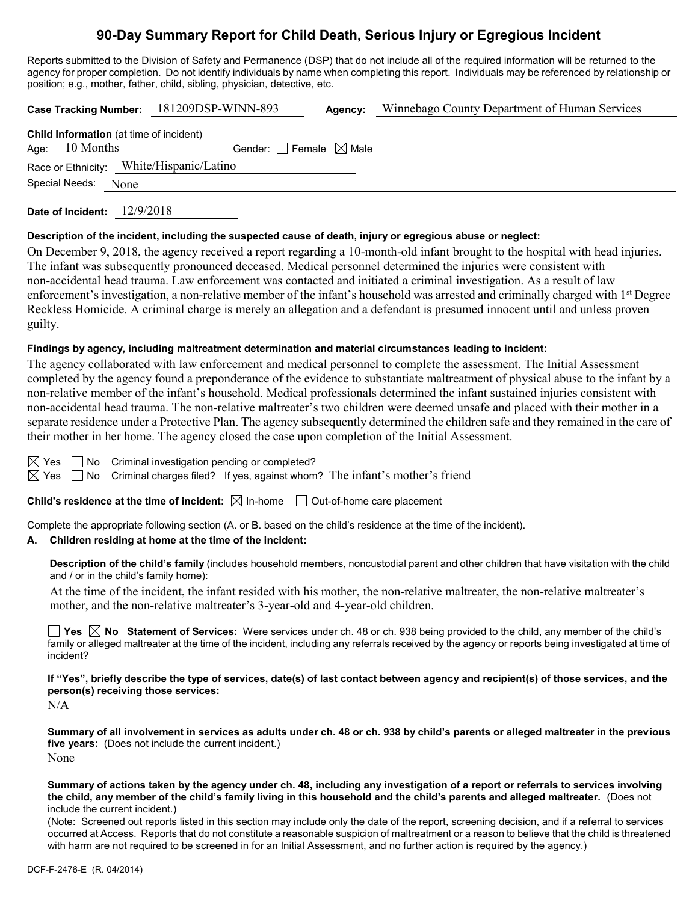# **90-Day Summary Report for Child Death, Serious Injury or Egregious Incident**

Reports submitted to the Division of Safety and Permanence (DSP) that do not include all of the required information will be returned to the agency for proper completion. Do not identify individuals by name when completing this report. Individuals may be referenced by relationship or position; e.g., mother, father, child, sibling, physician, detective, etc.

**Case Tracking Number:** 181209DSP-WINN-893 **Agency:** Winnebago County Department of Human Services **Child Information** (at time of incident) Age:  $10$  Months Gender: Female  $\boxtimes$  Male

Race or Ethnicity: White/Hispanic/Latino

Special Needs: None

**Date of Incident:** 12/9/2018

### **Description of the incident, including the suspected cause of death, injury or egregious abuse or neglect:**

On December 9, 2018, the agency received a report regarding a 10-month-old infant brought to the hospital with head injuries. The infant was subsequently pronounced deceased. Medical personnel determined the injuries were consistent with non-accidental head trauma. Law enforcement was contacted and initiated a criminal investigation. As a result of law enforcement's investigation, a non-relative member of the infant's household was arrested and criminally charged with 1<sup>st</sup> Degree Reckless Homicide. A criminal charge is merely an allegation and a defendant is presumed innocent until and unless proven guilty.

### **Findings by agency, including maltreatment determination and material circumstances leading to incident:**

The agency collaborated with law enforcement and medical personnel to complete the assessment. The Initial Assessment completed by the agency found a preponderance of the evidence to substantiate maltreatment of physical abuse to the infant by a non-relative member of the infant's household. Medical professionals determined the infant sustained injuries consistent with non-accidental head trauma. The non-relative maltreater's two children were deemed unsafe and placed with their mother in a separate residence under a Protective Plan. The agency subsequently determined the children safe and they remained in the care of their mother in her home. The agency closed the case upon completion of the Initial Assessment.

 $\boxtimes$  Yes  $\Box$  No Criminal investigation pending or completed?

 $\boxtimes$  Yes  $\Box$  No Criminal charges filed? If yes, against whom? The infant's mother's friend

**Child's residence at the time of incident:**  $\boxtimes$  In-home  $\Box$  Out-of-home care placement

Complete the appropriate following section (A. or B. based on the child's residence at the time of the incident).

### **A. Children residing at home at the time of the incident:**

**Description of the child's family** (includes household members, noncustodial parent and other children that have visitation with the child and / or in the child's family home):

At the time of the incident, the infant resided with his mother, the non-relative maltreater, the non-relative maltreater's mother, and the non-relative maltreater's 3-year-old and 4-year-old children.

**Yes No Statement of Services:** Were services under ch. 48 or ch. 938 being provided to the child, any member of the child's family or alleged maltreater at the time of the incident, including any referrals received by the agency or reports being investigated at time of incident?

**If "Yes", briefly describe the type of services, date(s) of last contact between agency and recipient(s) of those services, and the person(s) receiving those services:**

N/A

**Summary of all involvement in services as adults under ch. 48 or ch. 938 by child's parents or alleged maltreater in the previous five years:** (Does not include the current incident.) None

**Summary of actions taken by the agency under ch. 48, including any investigation of a report or referrals to services involving the child, any member of the child's family living in this household and the child's parents and alleged maltreater.** (Does not include the current incident.)

(Note: Screened out reports listed in this section may include only the date of the report, screening decision, and if a referral to services occurred at Access. Reports that do not constitute a reasonable suspicion of maltreatment or a reason to believe that the child is threatened with harm are not required to be screened in for an Initial Assessment, and no further action is required by the agency.)